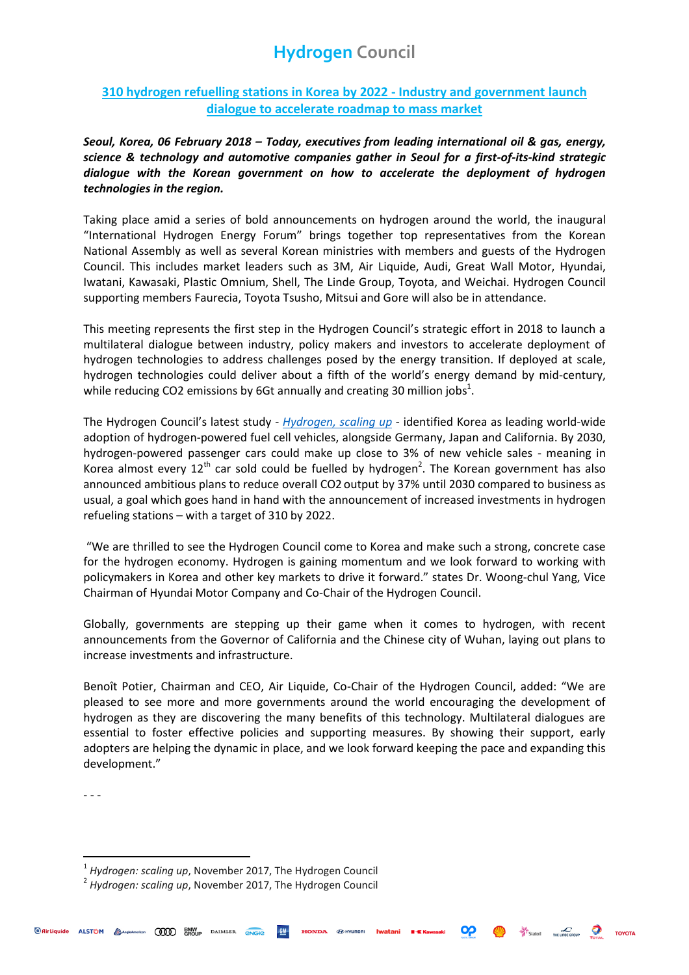# **Hydrogen Council**

### **310 hydrogen refuelling stations in Korea by 2022 - Industry and government launch dialogue to accelerate roadmap to mass market**

*Seoul, Korea, 06 February 2018 – Today, executives from leading international oil & gas, energy, science & technology and automotive companies gather in Seoul for a first-of-its-kind strategic dialogue with the Korean government on how to accelerate the deployment of hydrogen technologies in the region.*

Taking place amid a series of bold announcements on hydrogen around the world, the inaugural "International Hydrogen Energy Forum" brings together top representatives from the Korean National Assembly as well as several Korean ministries with members and guests of the Hydrogen Council. This includes market leaders such as 3M, Air Liquide, Audi, Great Wall Motor, Hyundai, Iwatani, Kawasaki, Plastic Omnium, Shell, The Linde Group, Toyota, and Weichai. Hydrogen Council supporting members Faurecia, Toyota Tsusho, Mitsui and Gore will also be in attendance.

This meeting represents the first step in the Hydrogen Council's strategic effort in 2018 to launch a multilateral dialogue between industry, policy makers and investors to accelerate deployment of hydrogen technologies to address challenges posed by the energy transition. If deployed at scale, hydrogen technologies could deliver about a fifth of the world's energy demand by mid-century, while reducing CO2 emissions by 6Gt annually and creating 30 million jobs<sup>1</sup>.

The Hydrogen Council's latest study - *[Hydrogen, scaling up](http://hydrogencouncil.com/wp-content/uploads/2017/11/Hydrogen-Scaling-up_Hydrogen-Council_2017.compressed.pdf)* - identified Korea as leading world-wide adoption of hydrogen-powered fuel cell vehicles, alongside Germany, Japan and California. By 2030, hydrogen-powered passenger cars could make up close to 3% of new vehicle sales - meaning in Korea almost every  $12^{th}$  car sold could be fuelled by hydrogen<sup>2</sup>. The Korean government has also announced ambitious plans to reduce overall CO2 output by 37% until 2030 compared to business as usual, a goal which goes hand in hand with the announcement of increased investments in hydrogen refueling stations – with a target of 310 by 2022.

"We are thrilled to see the Hydrogen Council come to Korea and make such a strong, concrete case for the hydrogen economy. Hydrogen is gaining momentum and we look forward to working with policymakers in Korea and other key markets to drive it forward." states Dr. Woong-chul Yang, Vice Chairman of Hyundai Motor Company and Co-Chair of the Hydrogen Council.

Globally, governments are stepping up their game when it comes to hydrogen, with recent announcements from the Governor of California and the Chinese city of Wuhan, laying out plans to increase investments and infrastructure.

Benoît Potier, Chairman and CEO, Air Liquide, Co-Chair of the Hydrogen Council, added: "We are pleased to see more and more governments around the world encouraging the development of hydrogen as they are discovering the many benefits of this technology. Multilateral dialogues are essential to foster effective policies and supporting measures. By showing their support, early adopters are helping the dynamic in place, and we look forward keeping the pace and expanding this development."

- - -

 $\overline{a}$ 

**OP** Statoil **Instance over Toyota** TOYOTA

<sup>1</sup> *Hydrogen: scaling up*, November 2017, The Hydrogen Council

<sup>2</sup> *Hydrogen: scaling up*, November 2017, The Hydrogen Council